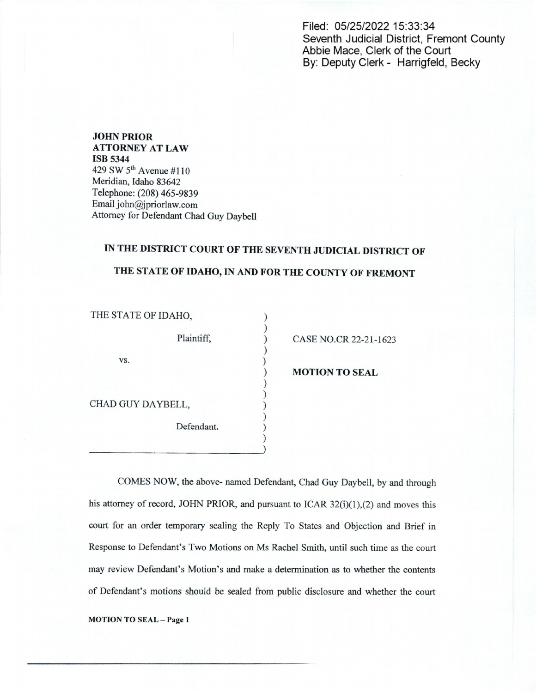Filed: 05/25/2022 15:33:34 Seventh Judicial District, Fremont County Abbie Mace, Clerk of the Court By: Deputy Clerk - Harrigfeld, Becky

## JOHN PRIOR ATTORNEY AT LAW ISB 5344 429 SW 5'" Avenue #110 Meridian, Idaho 83642 Telephone: (208) 465-9839 Email john@jpriorlaw.com Attorney for Defendant Chad Guy Daybell

## IN THE DISTRICT COURT OF THE SEVENTH JUDICIAL DISTRICT OF

## THE STATE OF IDAHO, IN AND FOR THE COUNTY OF FREMONT

 $\mathcal{E}$  $\mathcal{E}$ 

 $\mathcal{E}$  $\lambda$  $\mathcal{E}$ 

| THE STATE OF IDAHO. |            |  |
|---------------------|------------|--|
|                     | Plaintiff, |  |
| VS.                 |            |  |
| CHAD GUY DAYBELL,   |            |  |
|                     | Defendant. |  |
|                     |            |  |

OF LEE OF IDAHO, ISLA

Plance NO.CR 22-21-1623

MOTION TO SEAL

COMES NOW, the above- named Defendant, Chad Guy Daybell, by and through his attorney of record, JOHN PRIOR, and pursuant to ICAR 32(i)(l),(2) and moves this court for an order temporary sealing the Reply To States and Objection and Brief in Response to Defendant's Two Motions on Ms Rachel Smith, until such time as the court may review Defendant's Motion's and make determination as to whether the contents of Defendant's motions should be sealed fiom public disclosure and whether the court

MOTION TO SEAL - Page 1